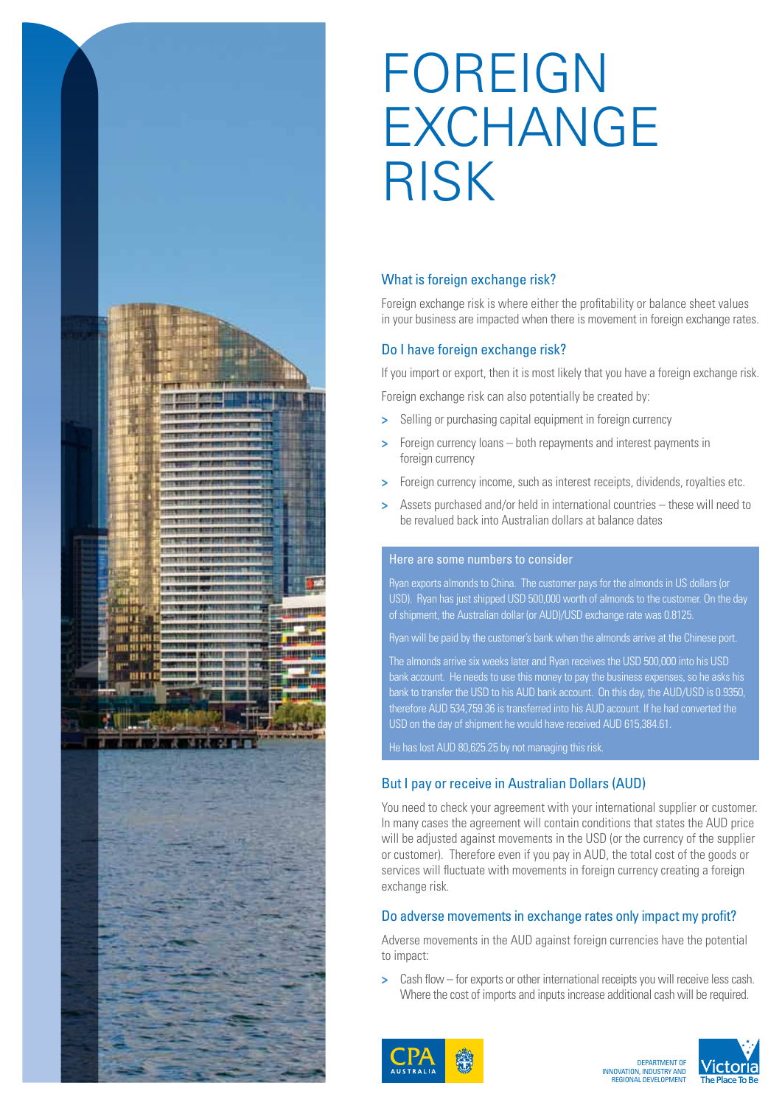

# FOREIGN EXCHANGE RISK

## What is foreign exchange risk?

Foreign exchange risk is where either the profitability or balance sheet values in your business are impacted when there is movement in foreign exchange rates.

## Do I have foreign exchange risk?

If you import or export, then it is most likely that you have a foreign exchange risk.

Foreign exchange risk can also potentially be created by:

- **>** Selling or purchasing capital equipment in foreign currency
- **>** Foreign currency loans both repayments and interest payments in foreign currency
- **>** Foreign currency income, such as interest receipts, dividends, royalties etc.
- **>** Assets purchased and/or held in international countries these will need to be revalued back into Australian dollars at balance dates

## Here are some numbers to consider

Ryan exports almonds to China. The customer pays for the almonds in US dollars (or USD). Ryan has just shipped USD 500,000 worth of almonds to the customer. On the day of shipment, the Australian dollar (or AUD)/USD exchange rate was 0.8125.

Ryan will be paid by the customer's bank when the almonds arrive at the Chinese port.

The almonds arrive six weeks later and Ryan receives the USD 500,000 into his USD bank account. He needs to use this money to pay the business expenses, so he asks his bank to transfer the USD to his AUD bank account. On this day, the AUD/USD is 0.9350, therefore AUD 534,759.36 is transferred into his AUD account. If he had converted the USD on the day of shipment he would have received AUD 615,384.61.

He has lost AUD 80,625.25 by not managing this risk.

## But I pay or receive in Australian Dollars (AUD)

You need to check your agreement with your international supplier or customer. In many cases the agreement will contain conditions that states the AUD price will be adjusted against movements in the USD (or the currency of the supplier or customer). Therefore even if you pay in AUD, the total cost of the goods or services will fluctuate with movements in foreign currency creating a foreign exchange risk.

#### Do adverse movements in exchange rates only impact my profit?

Adverse movements in the AUD against foreign currencies have the potential to impact:

**>** Cash flow – for exports or other international receipts you will receive less cash. Where the cost of imports and inputs increase additional cash will be required.